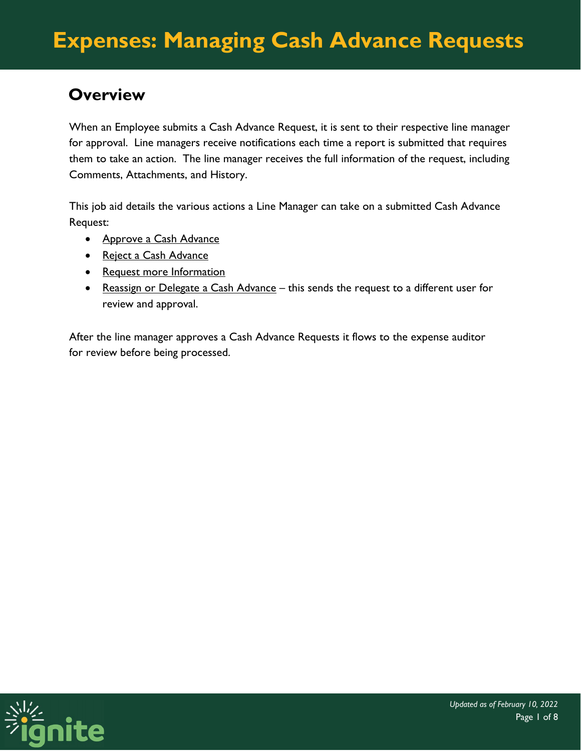### **Overview**

When an Employee submits a Cash Advance Request, it is sent to their respective line manager for approval. Line managers receive notifications each time a report is submitted that requires them to take an action. The line manager receives the full information of the request, including Comments, Attachments, and History.

This job aid details the various actions a Line Manager can take on a submitted Cash Advance Request:

- Approve a Cash Advance
- Reject a Cash Advance
- Request more Information
- Reassign or Delegate a Cash Advance this sends the request to a different user for review and approval.

After the line manager approves a Cash Advance Requests it flows to the expense auditor for review before being processed.

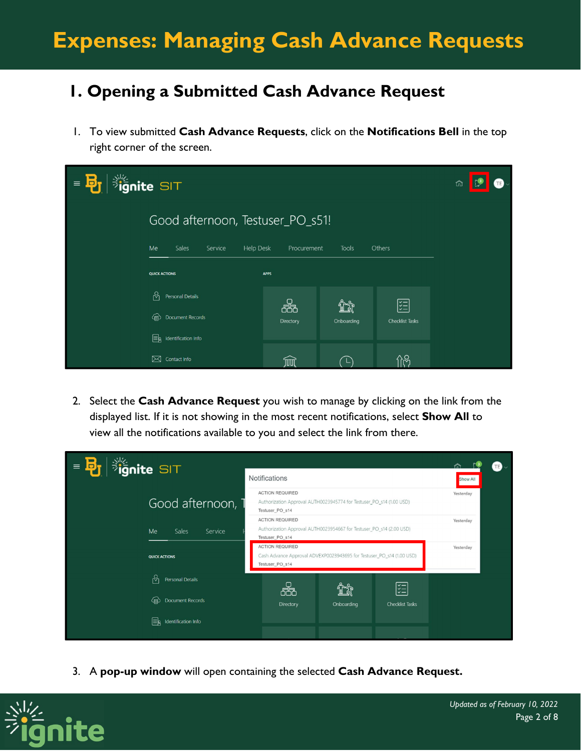# **Expenses: Managing Cash Advance Requests**

### **1. Opening a Submitted Cash Advance Request**

1. To view submitted **Cash Advance Requests**, click on the **Notifications Bell** in the top right corner of the screen.

| $\frac{1}{2}$ ignite SIT<br>$\equiv$ $\frac{1}{2}$ | ħ                                |            |                        |  |  |  |
|----------------------------------------------------|----------------------------------|------------|------------------------|--|--|--|
|                                                    | Good afternoon, Testuser_PO_s51! |            |                        |  |  |  |
| Me<br>Sales<br>Service<br><b>Help Desk</b>         | Procurement                      | Tools      | Others                 |  |  |  |
| <b>QUICK ACTIONS</b>                               | <b>APPS</b>                      |            |                        |  |  |  |
| လို<br>Personal Details                            | 볾                                |            | 罔                      |  |  |  |
| ⊕<br><b>Document Records</b>                       | Directory                        | Onboarding | <b>Checklist Tasks</b> |  |  |  |
| ER<br>Identification Info                          |                                  |            |                        |  |  |  |
| ⊠<br>Contact Info                                  | ПUU                              |            | ሰራ                     |  |  |  |

2. Select the **Cash Advance Request** you wish to manage by clicking on the link from the displayed list. If it is not showing in the most recent notifications, select **Show All** to view all the notifications available to you and select the link from there.



3. A **pop-up window** will open containing the selected **Cash Advance Request.**

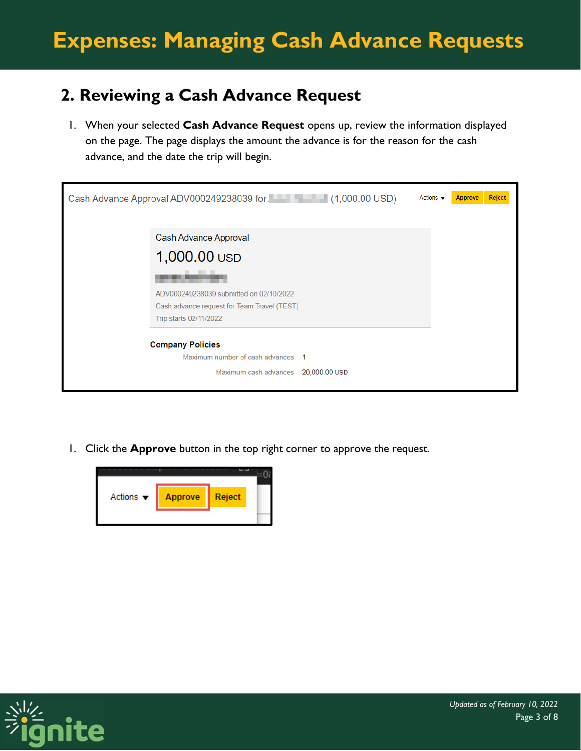### **2. Reviewing a Cash Advance Request**

1. When your selected **Cash Advance Request** opens up, review the information displayed on the page. The page displays the amount the advance is for the reason for the cash advance, and the date the trip will begin.

| Cash Advance Approval ADV000249238039 for<br>Actions $\blacktriangledown$<br>Reject<br><b>Approve</b> |
|-------------------------------------------------------------------------------------------------------|
| Cash Advance Approval                                                                                 |
| 1,000.00 USD                                                                                          |
|                                                                                                       |
| ADV000249238039 submitted on 02/10/2022                                                               |
| Cash advance request for Team Travel (TEST)                                                           |
| Trip starts 02/11/2022                                                                                |
| <b>Company Policies</b><br>Maximum number of cash advances 1                                          |
| Maximum cash advances 20,000.00 USD                                                                   |
|                                                                                                       |

1. Click the **Approve** button in the top right corner to approve the request.



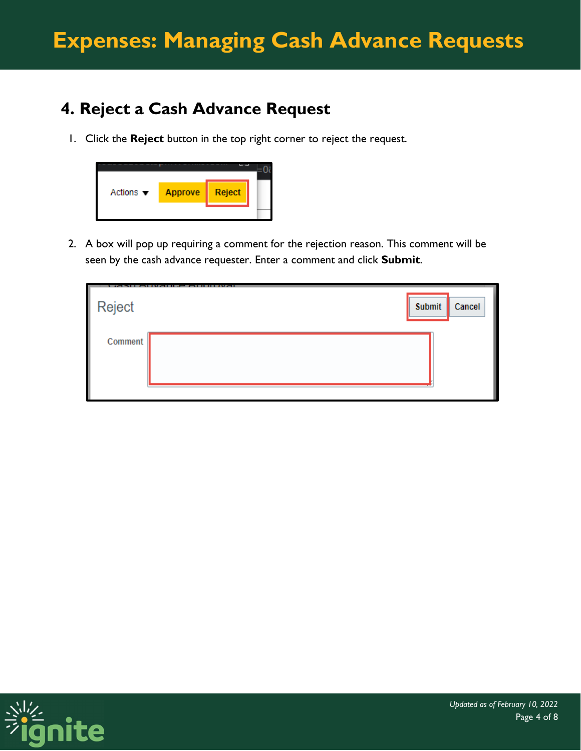## **4. Reject a Cash Advance Request**

1. Click the **Reject** button in the top right corner to reject the request.



2. A box will pop up requiring a comment for the rejection reason. This comment will be seen by the cash advance requester. Enter a comment and click **Submit**.

| Reject  | Submit | Cancel |
|---------|--------|--------|
| Comment |        |        |

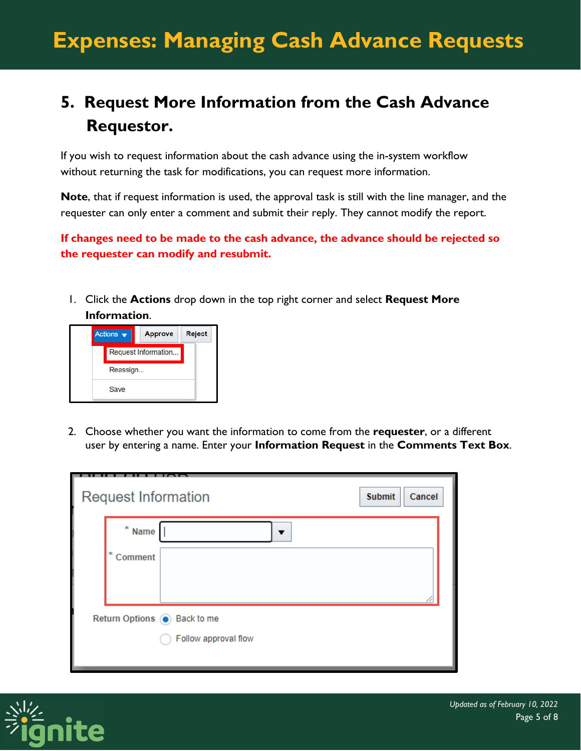## **5. Request More Information from the Cash Advance Requestor.**

If you wish to request information about the cash advance using the in-system workflow without returning the task for modifications, you can request more information.

**Note**, that if request information is used, the approval task is still with the line manager, and the requester can only enter a comment and submit their reply. They cannot modify the report.

**If changes need to be made to the cash advance, the advance should be rejected so the requester can modify and resubmit.**

1. Click the **Actions** drop down in the top right corner and select **Request More Information**.



2. Choose whether you want the information to come from the **requester**, or a different user by entering a name. Enter your **Information Request** in the **Comments Text Box**.

| <b>Request Information</b>    |                      | <b>Submit</b><br>Cancel |  |  |
|-------------------------------|----------------------|-------------------------|--|--|
| $\pmb{\ast}$<br>Name          | ▼                    |                         |  |  |
| ×<br>Comment                  |                      |                         |  |  |
|                               |                      |                         |  |  |
| Return Options (a) Back to me |                      |                         |  |  |
|                               | Follow approval flow |                         |  |  |
|                               |                      |                         |  |  |

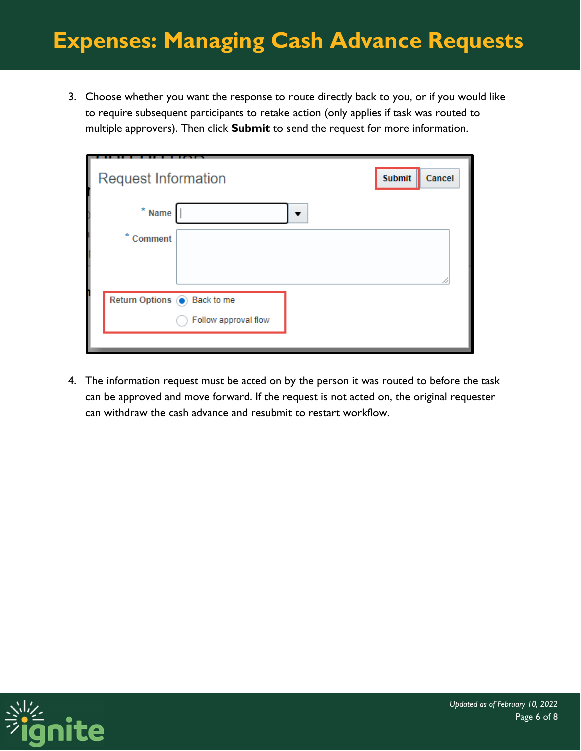## **Expenses: Managing Cash Advance Requests**

3. Choose whether you want the response to route directly back to you, or if you would like to require subsequent participants to retake action (only applies if task was routed to multiple approvers). Then click **Submit** to send the request for more information.

| <b>Request Information</b>          | <b>Submit</b><br>Cancel |
|-------------------------------------|-------------------------|
| $*$ Name<br>$\overline{\mathbf{v}}$ |                         |
| ×<br>Comment                        |                         |
|                                     |                         |
| Return Options (c) Back to me       |                         |
| Follow approval flow                |                         |

4. The information request must be acted on by the person it was routed to before the task can be approved and move forward. If the request is not acted on, the original requester can withdraw the cash advance and resubmit to restart workflow.

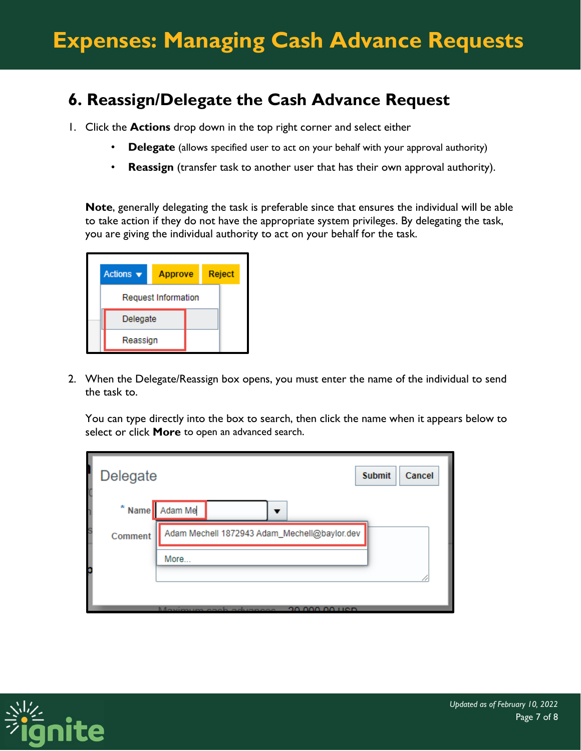### **6. Reassign/Delegate the Cash Advance Request**

- 1. Click the **Actions** drop down in the top right corner and select either
	- **Delegate** (allows specified user to act on your behalf with your approval authority)
	- **Reassign** (transfer task to another user that has their own approval authority).

**Note**, generally delegating the task is preferable since that ensures the individual will be able to take action if they do not have the appropriate system privileges. By delegating the task, you are giving the individual authority to act on your behalf for the task.



2. When the Delegate/Reassign box opens, you must enter the name of the individual to send the task to.

You can type directly into the box to search, then click the name when it appears below to select or click **More** to open an advanced search.

| Delegate     | <b>Submit</b><br>Cancel                      |
|--------------|----------------------------------------------|
|              | * Name Adam Me<br>▼                          |
| s<br>Comment | Adam Mechell 1872943 Adam_Mechell@baylor.dev |
|              | More                                         |
|              |                                              |
|              | 20,000,00 Hen<br>Maximum cash advances       |